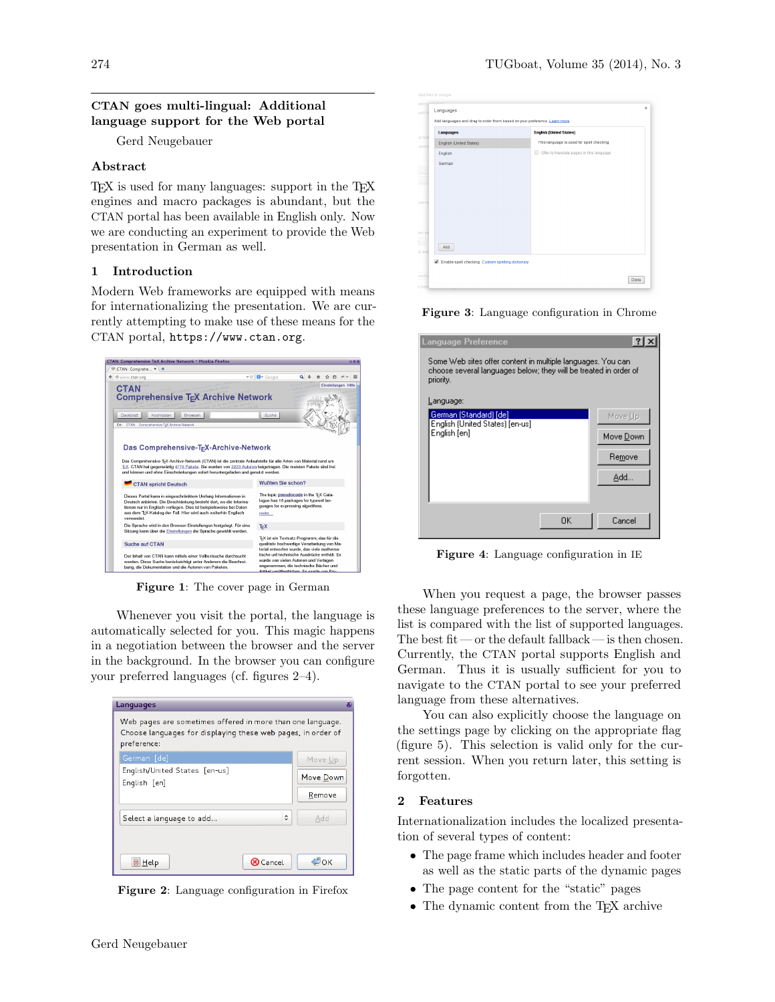# CTAN goes multi-lingual: Additional language support for the Web portal

Gerd Neugebauer

### Abstract

T<sub>EX</sub> is used for many languages: support in the T<sub>EX</sub> engines and macro packages is abundant, but the CTAN portal has been available in English only. Now we are conducting an experiment to provide the Web presentation in German as well.

## 1 Introduction

Modern Web frameworks are equipped with means for internationalizing the presentation. We are currently attempting to make use of these means for the CTAN portal, <https://www.ctan.org>.



Figure 1: The cover page in German

<span id="page-0-2"></span>Whenever you visit the portal, the language is automatically selected for you. This magic happens in a negotiation between the browser and the server in the background. In the browser you can configure your preferred languages (cf. figures [2](#page-0-0)[–4\)](#page-0-1).

| Languages                                                                                                                                 |           |  |  |
|-------------------------------------------------------------------------------------------------------------------------------------------|-----------|--|--|
| Web pages are sometimes offered in more than one language.<br>Choose languages for displaying these web pages, in order of<br>preference: |           |  |  |
| German [de]                                                                                                                               | Move Up   |  |  |
| English/United States [en-us]<br>English [en]                                                                                             | Move Down |  |  |
|                                                                                                                                           | Remove    |  |  |
| $\hat{C}$<br>Select a language to add                                                                                                     | Add       |  |  |
| C Help<br><b>8</b> Cancel                                                                                                                 | ≝ок       |  |  |

<span id="page-0-0"></span>Figure 2: Language configuration in Firefox

| <b>Languages</b>               | <b>English (United States)</b>                                    |
|--------------------------------|-------------------------------------------------------------------|
| <b>English (United States)</b> | This language is used for spell checking                          |
| English                        | $\qquad \qquad \Box$<br>Offer to translate pages in this language |
| German                         |                                                                   |
|                                |                                                                   |
|                                |                                                                   |
|                                |                                                                   |
|                                |                                                                   |
|                                |                                                                   |
|                                |                                                                   |
|                                |                                                                   |
|                                |                                                                   |
| Add                            |                                                                   |

Figure 3: Language configuration in Chrome

| Language Preference                                                                                                                          |           |
|----------------------------------------------------------------------------------------------------------------------------------------------|-----------|
| Some Web sites offer content in multiple languages. You can<br>choose several languages below; they will be treated in order of<br>priority. |           |
| Language:                                                                                                                                    |           |
| German (Standard) [de]<br>English (United States) [en-us]                                                                                    | Move Up   |
| English [en]                                                                                                                                 | Move Down |
|                                                                                                                                              | Remove    |
|                                                                                                                                              | Add       |
|                                                                                                                                              |           |
| 0K                                                                                                                                           | Cancel    |

<span id="page-0-1"></span>Figure 4: Language configuration in IE

When you request a page, the browser passes these language preferences to the server, where the list is compared with the list of supported languages. The best fit — or the default fallback — is then chosen. Currently, the CTAN portal supports English and German. Thus it is usually sufficient for you to navigate to the CTAN portal to see your preferred language from these alternatives.

You can also explicitly choose the language on the settings page by clicking on the appropriate flag (figure [5\)](#page-1-0). This selection is valid only for the current session. When you return later, this setting is forgotten.

#### 2 Features

Internationalization includes the localized presentation of several types of content:

- The page frame which includes header and footer as well as the static parts of the dynamic pages
- The page content for the "static" pages
- The dynamic content from the T<sub>E</sub>X archive